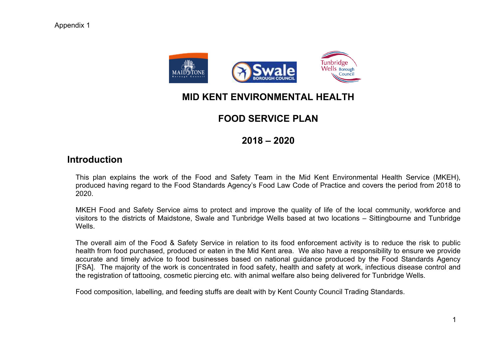

# **MID KENT ENVIRONMENTAL HEALTH**

# **FOOD SERVICE PLAN**

# **2018 – 2020**

# **Introduction**

This plan explains the work of the Food and Safety Team in the Mid Kent Environmental Health Service (MKEH), produced having regard to the Food Standards Agency's Food Law Code of Practice and covers the period from 2018 to 2020.

MKEH Food and Safety Service aims to protect and improve the quality of life of the local community, workforce and visitors to the districts of Maidstone, Swale and Tunbridge Wells based at two locations – Sittingbourne and Tunbridge Wells.

The overall aim of the Food & Safety Service in relation to its food enforcement activity is to reduce the risk to public health from food purchased, produced or eaten in the Mid Kent area. We also have a responsibility to ensure we provide accurate and timely advice to food businesses based on national guidance produced by the Food Standards Agency [FSA]. The majority of the work is concentrated in food safety, health and safety at work, infectious disease control and the registration of tattooing, cosmetic piercing etc. with animal welfare also being delivered for Tunbridge Wells.

Food composition, labelling, and feeding stuffs are dealt with by Kent County Council Trading Standards.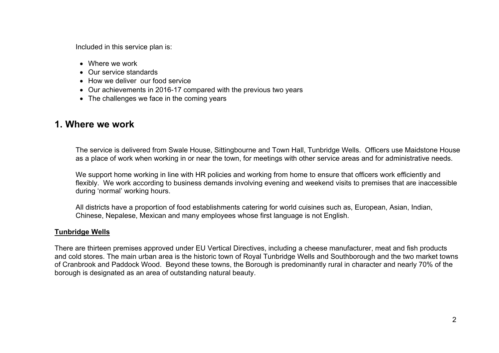Included in this service plan is:

- Where we work
- Our service standards
- How we deliver our food service
- Our achievements in 2016-17 compared with the previous two years
- The challenges we face in the coming years

# **1. Where we work**

The service is delivered from Swale House, Sittingbourne and Town Hall, Tunbridge Wells. Officers use Maidstone House as a place of work when working in or near the town, for meetings with other service areas and for administrative needs.

We support home working in line with HR policies and working from home to ensure that officers work efficiently and flexibly. We work according to business demands involving evening and weekend visits to premises that are inaccessible during 'normal' working hours.

All districts have a proportion of food establishments catering for world cuisines such as, European, Asian, Indian, Chinese, Nepalese, Mexican and many employees whose first language is not English.

# **Tunbridge Wells**

There are thirteen premises approved under EU Vertical Directives, including a cheese manufacturer, meat and fish products and cold stores. The main urban area is the historic town of Royal Tunbridge Wells and Southborough and the two market towns of Cranbrook and Paddock Wood. Beyond these towns, the Borough is predominantly rural in character and nearly 70% of the borough is designated as an area of outstanding natural beauty.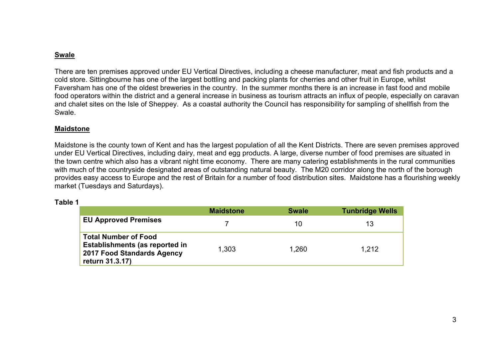# **Swale**

There are ten premises approved under EU Vertical Directives, including a cheese manufacturer, meat and fish products and a cold store. Sittingbourne has one of the largest bottling and packing plants for cherries and other fruit in Europe, whilst Faversham has one of the oldest breweries in the country. In the summer months there is an increase in fast food and mobile food operators within the district and a general increase in business as tourism attracts an influx of people, especially on caravan and chalet sites on the Isle of Sheppey. As a coastal authority the Council has responsibility for sampling of shellfish from the Swale.

### **Maidstone**

Maidstone is the county town of Kent and has the largest population of all the Kent Districts. There are seven premises approved under EU Vertical Directives, including dairy, meat and egg products. A large, diverse number of food premises are situated in the town centre which also has a vibrant night time economy. There are many catering establishments in the rural communities with much of the countryside designated areas of outstanding natural beauty. The M20 corridor along the north of the borough provides easy access to Europe and the rest of Britain for a number of food distribution sites. Maidstone has a flourishing weekly market (Tuesdays and Saturdays).

#### **Table 1**

|                                                                                                                | <b>Maidstone</b> | <b>Swale</b> | <b>Tunbridge Wells</b> |
|----------------------------------------------------------------------------------------------------------------|------------------|--------------|------------------------|
| <b>EU Approved Premises</b>                                                                                    |                  | 10           | 13                     |
| <b>Total Number of Food</b><br>Establishments (as reported in<br>2017 Food Standards Agency<br>return 31.3.17) | 1,303            | 1.260        | 1.212                  |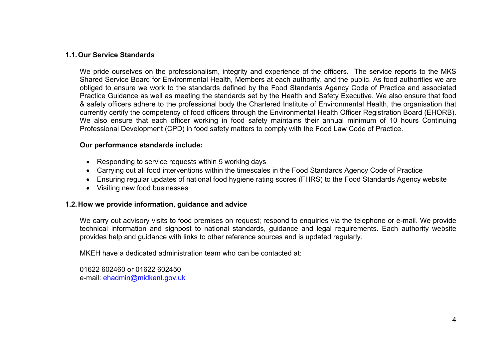# **1.1.Our Service Standards**

We pride ourselves on the professionalism, integrity and experience of the officers. The service reports to the MKS Shared Service Board for Environmental Health, Members at each authority, and the public. As food authorities we are obliged to ensure we work to the standards defined by the Food Standards Agency Code of Practice and associated Practice Guidance as well as meeting the standards set by the Health and Safety Executive. We also ensure that food & safety officers adhere to the professional body the Chartered Institute of Environmental Health, the organisation that currently certify the competency of food officers through the Environmental Health Officer Registration Board (EHORB). We also ensure that each officer working in food safety maintains their annual minimum of 10 hours Continuing Professional Development (CPD) in food safety matters to comply with the Food Law Code of Practice.

### **Our performance standards include:**

- Responding to service requests within 5 working days
- Carrying out all food interventions within the timescales in the Food Standards Agency Code of Practice
- Ensuring regular updates of national food hygiene rating scores (FHRS) to the Food Standards Agency website
- Visiting new food businesses

#### **1.2.How we provide information, guidance and advice**

We carry out advisory visits to food premises on request; respond to enquiries via the telephone or e-mail. We provide technical information and signpost to national standards, guidance and legal requirements. Each authority website provides help and guidance with links to other reference sources and is updated regularly.

MKEH have a dedicated administration team who can be contacted at:

01622 602460 or 01622 602450 e-mail: [ehadmin@midkent.gov.uk](mailto:ehadmin@midkent.gov.uk)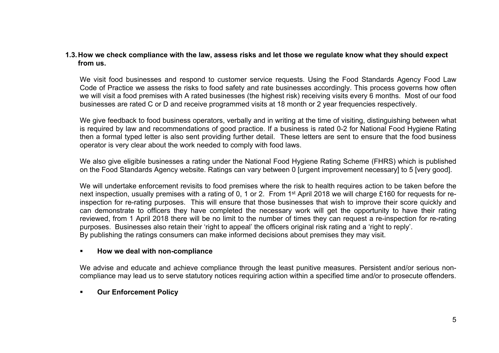# 1.3. How we check compliance with the law, assess risks and let those we regulate know what they should expect **from us.**

We visit food businesses and respond to customer service requests. Using the Food Standards Agency Food Law Code of Practice we assess the risks to food safety and rate businesses accordingly. This process governs how often we will visit a food premises with A rated businesses (the highest risk) receiving visits every 6 months. Most of our food businesses are rated C or D and receive programmed visits at 18 month or 2 year frequencies respectively.

We give feedback to food business operators, verbally and in writing at the time of visiting, distinguishing between what is required by law and recommendations of good practice. If a business is rated 0-2 for National Food Hygiene Rating then a formal typed letter is also sent providing further detail. These letters are sent to ensure that the food business operator is very clear about the work needed to comply with food laws.

We also give eligible businesses a rating under the National Food Hygiene Rating Scheme (FHRS) which is published on the Food Standards Agency website. Ratings can vary between 0 [urgent improvement necessary] to 5 [very good].

We will undertake enforcement revisits to food premises where the risk to health requires action to be taken before the next inspection, usually premises with a rating of 0, 1 or 2. From 1<sup>st</sup> April 2018 we will charge £160 for requests for reinspection for re-rating purposes. This will ensure that those businesses that wish to improve their score quickly and can demonstrate to officers they have completed the necessary work will get the opportunity to have their rating reviewed, from 1 April 2018 there will be no limit to the number of times they can request a re-inspection for re-rating purposes. Businesses also retain their 'right to appeal' the officers original risk rating and a 'right to reply'. By publishing the ratings consumers can make informed decisions about premises they may visit.

#### **How we deal with non-compliance**

We advise and educate and achieve compliance through the least punitive measures. Persistent and/or serious noncompliance may lead us to serve statutory notices requiring action within a specified time and/or to prosecute offenders.

# **Our Enforcement Policy**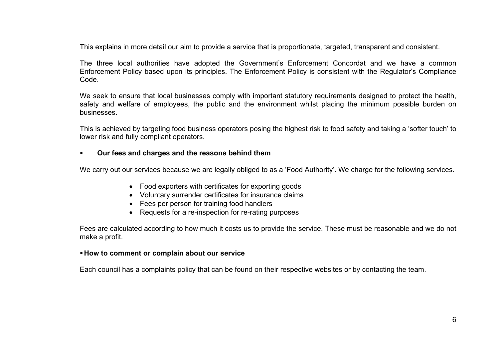This explains in more detail our aim to provide a service that is proportionate, targeted, transparent and consistent.

The three local authorities have adopted the Government's Enforcement Concordat and we have a common Enforcement Policy based upon its principles. The Enforcement Policy is consistent with the Regulator's Compliance Code.

We seek to ensure that local businesses comply with important statutory requirements designed to protect the health, safety and welfare of employees, the public and the environment whilst placing the minimum possible burden on businesses.

This is achieved by targeting food business operators posing the highest risk to food safety and taking a 'softer touch' to lower risk and fully compliant operators.

# **Our fees and charges and the reasons behind them**

We carry out our services because we are legally obliged to as a 'Food Authority'. We charge for the following services.

- Food exporters with certificates for exporting goods
- Voluntary surrender certificates for insurance claims
- Fees per person for training food handlers
- Requests for a re-inspection for re-rating purposes

Fees are calculated according to how much it costs us to provide the service. These must be reasonable and we do not make a profit.

#### **How to comment or complain about our service**

Each council has a complaints policy that can be found on their respective websites or by contacting the team.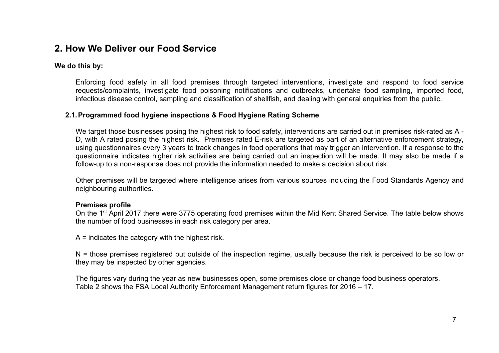# **2. How We Deliver our Food Service**

## **We do this by:**

Enforcing food safety in all food premises through targeted interventions, investigate and respond to food service requests/complaints, investigate food poisoning notifications and outbreaks, undertake food sampling, imported food, infectious disease control, sampling and classification of shellfish, and dealing with general enquiries from the public.

# **2.1.Programmed food hygiene inspections & Food Hygiene Rating Scheme**

We target those businesses posing the highest risk to food safety, interventions are carried out in premises risk-rated as A -D, with A rated posing the highest risk. Premises rated E-risk are targeted as part of an alternative enforcement strategy, using questionnaires every 3 years to track changes in food operations that may trigger an intervention. If a response to the questionnaire indicates higher risk activities are being carried out an inspection will be made. It may also be made if a follow-up to a non-response does not provide the information needed to make a decision about risk.

Other premises will be targeted where intelligence arises from various sources including the Food Standards Agency and neighbouring authorities.

# **Premises profile**

On the 1<sup>st</sup> April 2017 there were 3775 operating food premises within the Mid Kent Shared Service. The table below shows the number of food businesses in each risk category per area.

A = indicates the category with the highest risk.

N = those premises registered but outside of the inspection regime, usually because the risk is perceived to be so low or they may be inspected by other agencies.

The figures vary during the year as new businesses open, some premises close or change food business operators. Table 2 shows the FSA Local Authority Enforcement Management return figures for 2016 – 17.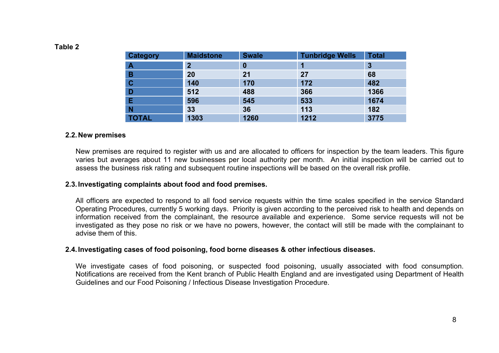| <b>Category</b>  | <b>Maidstone</b> | <b>Swale</b> | <b>Tunbridge Wells</b> | <b>Total</b> |
|------------------|------------------|--------------|------------------------|--------------|
| $\blacktriangle$ | $\overline{2}$   | 0            |                        | 3            |
| B                | 20               | 21           | 27                     | 68           |
| $\mathbf C$      | 140              | 170          | 172                    | 482          |
| D                | 512              | 488          | 366                    | 1366         |
| E                | 596              | 545          | 533                    | 1674         |
| N                | 33               | 36           | 113                    | 182          |
| <b>TOTAL</b>     | 1303             | 1260         | 1212                   | 3775         |

#### **Table 2**

#### **2.2.New premises**

New premises are required to register with us and are allocated to officers for inspection by the team leaders. This figure varies but averages about 11 new businesses per local authority per month. An initial inspection will be carried out to assess the business risk rating and subsequent routine inspections will be based on the overall risk profile.

# **2.3.Investigating complaints about food and food premises.**

All officers are expected to respond to all food service requests within the time scales specified in the service Standard Operating Procedures, currently 5 working days. Priority is given according to the perceived risk to health and depends on information received from the complainant, the resource available and experience. Some service requests will not be investigated as they pose no risk or we have no powers, however, the contact will still be made with the complainant to advise them of this.

#### **2.4.Investigating cases of food poisoning, food borne diseases & other infectious diseases.**

We investigate cases of food poisoning, or suspected food poisoning, usually associated with food consumption. Notifications are received from the Kent branch of Public Health England and are investigated using Department of Health Guidelines and our Food Poisoning / Infectious Disease Investigation Procedure.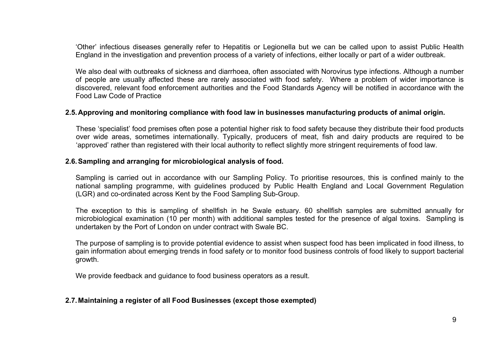'Other' infectious diseases generally refer to Hepatitis or Legionella but we can be called upon to assist Public Health England in the investigation and prevention process of a variety of infections, either locally or part of a wider outbreak.

We also deal with outbreaks of sickness and diarrhoea, often associated with Norovirus type infections. Although a number of people are usually affected these are rarely associated with food safety. Where a problem of wider importance is discovered, relevant food enforcement authorities and the Food Standards Agency will be notified in accordance with the Food Law Code of Practice

#### **2.5.Approving and monitoring compliance with food law in businesses manufacturing products of animal origin.**

These 'specialist' food premises often pose a potential higher risk to food safety because they distribute their food products over wide areas, sometimes internationally. Typically, producers of meat, fish and dairy products are required to be 'approved' rather than registered with their local authority to reflect slightly more stringent requirements of food law.

#### **2.6.Sampling and arranging for microbiological analysis of food.**

Sampling is carried out in accordance with our Sampling Policy. To prioritise resources, this is confined mainly to the national sampling programme, with guidelines produced by Public Health England and Local Government Regulation (LGR) and co-ordinated across Kent by the Food Sampling Sub-Group.

The exception to this is sampling of shellfish in he Swale estuary. 60 shellfish samples are submitted annually for microbiological examination (10 per month) with additional samples tested for the presence of algal toxins. Sampling is undertaken by the Port of London on under contract with Swale BC.

The purpose of sampling is to provide potential evidence to assist when suspect food has been implicated in food illness, to gain information about emerging trends in food safety or to monitor food business controls of food likely to support bacterial growth.

We provide feedback and quidance to food business operators as a result.

#### **2.7.Maintaining a register of all Food Businesses (except those exempted)**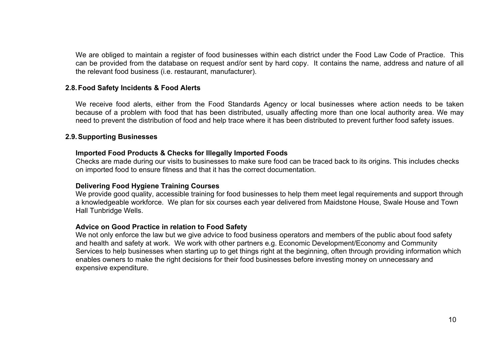We are obliged to maintain a register of food businesses within each district under the Food Law Code of Practice. This can be provided from the database on request and/or sent by hard copy. It contains the name, address and nature of all the relevant food business (i.e. restaurant, manufacturer).

### **2.8.Food Safety Incidents & Food Alerts**

We receive food alerts, either from the Food Standards Agency or local businesses where action needs to be taken because of a problem with food that has been distributed, usually affecting more than one local authority area. We may need to prevent the distribution of food and help trace where it has been distributed to prevent further food safety issues.

### **2.9.Supporting Businesses**

#### **Imported Food Products & Checks for Illegally Imported Foods**

Checks are made during our visits to businesses to make sure food can be traced back to its origins. This includes checks on imported food to ensure fitness and that it has the correct documentation.

# **Delivering Food Hygiene Training Courses**

We provide good quality, accessible training for food businesses to help them meet legal requirements and support through a knowledgeable workforce. We plan for six courses each year delivered from Maidstone House, Swale House and Town Hall Tunbridge Wells.

#### **Advice on Good Practice in relation to Food Safety**

We not only enforce the law but we give advice to food business operators and members of the public about food safety and health and safety at work. We work with other partners e.g. Economic Development/Economy and Community Services to help businesses when starting up to get things right at the beginning, often through providing information which enables owners to make the right decisions for their food businesses before investing money on unnecessary and expensive expenditure.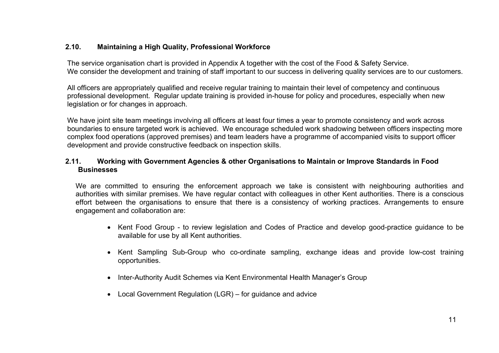# **2.10. Maintaining a High Quality, Professional Workforce**

The service organisation chart is provided in Appendix A together with the cost of the Food & Safety Service. We consider the development and training of staff important to our success in delivering quality services are to our customers.

All officers are appropriately qualified and receive regular training to maintain their level of competency and continuous professional development. Regular update training is provided in-house for policy and procedures, especially when new legislation or for changes in approach.

We have joint site team meetings involving all officers at least four times a year to promote consistency and work across boundaries to ensure targeted work is achieved. We encourage scheduled work shadowing between officers inspecting more complex food operations (approved premises) and team leaders have a programme of accompanied visits to support officer development and provide constructive feedback on inspection skills.

# **2.11. Working with Government Agencies & other Organisations to Maintain or Improve Standards in Food Businesses**

We are committed to ensuring the enforcement approach we take is consistent with neighbouring authorities and authorities with similar premises. We have regular contact with colleagues in other Kent authorities. There is a conscious effort between the organisations to ensure that there is a consistency of working practices. Arrangements to ensure engagement and collaboration are:

- Kent Food Group to review legislation and Codes of Practice and develop good-practice guidance to be available for use by all Kent authorities.
- Kent Sampling Sub-Group who co-ordinate sampling, exchange ideas and provide low-cost training opportunities.
- Inter-Authority Audit Schemes via Kent Environmental Health Manager's Group
- Local Government Regulation (LGR) for guidance and advice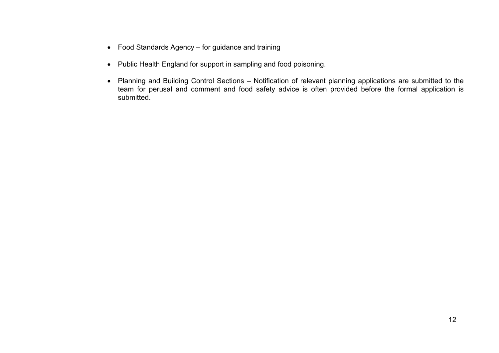- Food Standards Agency for guidance and training
- Public Health England for support in sampling and food poisoning.
- Planning and Building Control Sections Notification of relevant planning applications are submitted to the team for perusal and comment and food safety advice is often provided before the formal application is submitted.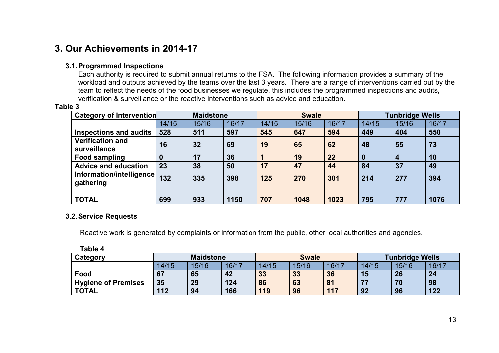# **3. Our Achievements in 2014-17**

# **3.1.Programmed Inspections**

Each authority is required to submit annual returns to the FSA. The following information provides a summary of the workload and outputs achieved by the teams over the last 3 years. There are a range of interventions carried out by the team to reflect the needs of the food businesses we regulate, this includes the programmed inspections and audits, verification & surveillance or the reactive interventions such as advice and education.

#### **Table 3**

| <b>Category of Intervention</b>         |       | <b>Maidstone</b> |       |       | <b>Swale</b> |       |          | <b>Tunbridge Wells</b> |       |
|-----------------------------------------|-------|------------------|-------|-------|--------------|-------|----------|------------------------|-------|
|                                         | 14/15 | 15/16            | 16/17 | 14/15 | 15/16        | 16/17 | 14/15    | 15/16                  | 16/17 |
| <b>Inspections and audits</b>           | 528   | 511              | 597   | 545   | 647          | 594   | 449      | 404                    | 550   |
| <b>Verification and</b><br>surveillance | 16    | 32               | 69    | 19    | 65           | 62    | 48       | 55                     | 73    |
| <b>Food sampling</b>                    | 0     | 17               | 36    |       | 19           | 22    | $\bf{0}$ | $\boldsymbol{4}$       | 10    |
| <b>Advice and education</b>             | 23    | 38               | 50    | 17    | 47           | 44    | 84       | 37                     | 49    |
| Information/intelligence<br>gathering   | 132   | 335              | 398   | 125   | 270          | 301   | 214      | 277                    | 394   |
|                                         |       |                  |       |       |              |       |          |                        |       |
| <b>TOTAL</b>                            | 699   | 933              | 1150  | 707   | 1048         | 1023  | 795      | 777                    | 1076  |

#### **3.2.Service Requests**

Reactive work is generated by complaints or information from the public, other local authorities and agencies.

| LANIG 4                    |                  |       |       |              |       |       |                        |       |       |
|----------------------------|------------------|-------|-------|--------------|-------|-------|------------------------|-------|-------|
| Category                   | <b>Maidstone</b> |       |       | <b>Swale</b> |       |       | <b>Tunbridge Wells</b> |       |       |
|                            | 14/15            | 15/16 | 16/17 | 14/15        | 15/16 | 16/17 | 14/15                  | 15/16 | 16/17 |
| Food                       | 67               | 65    | 42    | 33           | 33    | 36    | 15                     | 26    | 24    |
| <b>Hygiene of Premises</b> | 35               | 29    | 124   | 86           | 63    | 81    | 77                     | 70    | 98    |
| <b>TOTAL</b>               | 112              | 94    | 166   | 119          | 96    | 117   | 92                     | 96    | 122   |

**Table 4**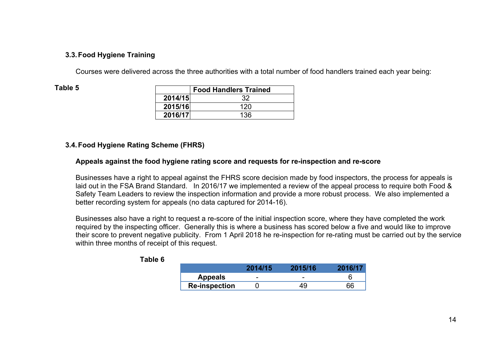# **3.3.Food Hygiene Training**

Courses were delivered across the three authorities with a total number of food handlers trained each year being:

| able |  |
|------|--|
|------|--|

|         | <b>Food Handlers Trained</b> |  |  |
|---------|------------------------------|--|--|
| 2014/15 | 32                           |  |  |
| 2015/16 | 120                          |  |  |
| 2016/17 | 136                          |  |  |

# **3.4.Food Hygiene Rating Scheme (FHRS)**

# **Appeals against the food hygiene rating score and requests for re-inspection and re-score**

Businesses have a right to appeal against the FHRS score decision made by food inspectors, the process for appeals is laid out in the FSA Brand Standard. In 2016/17 we implemented a review of the appeal process to require both Food & Safety Team Leaders to review the inspection information and provide a more robust process. We also implemented a better recording system for appeals (no data captured for 2014-16).

Businesses also have a right to request a re-score of the initial inspection score, where they have completed the work required by the inspecting officer. Generally this is where a business has scored below a five and would like to improve their score to prevent negative publicity. From 1 April 2018 he re-inspection for re-rating must be carried out by the service within three months of receipt of this request.

|                      | 2014/15 | 2015/16 | 2016/17 |
|----------------------|---------|---------|---------|
| <b>Appeals</b>       | -       | -       |         |
| <b>Re-inspection</b> |         |         | 66      |

| able |  |
|------|--|
|------|--|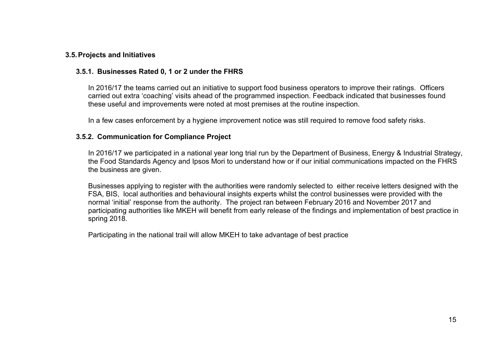### **3.5.Projects and Initiatives**

### **3.5.1. Businesses Rated 0, 1 or 2 under the FHRS**

In 2016/17 the teams carried out an initiative to support food business operators to improve their ratings. Officers carried out extra 'coaching' visits ahead of the programmed inspection. Feedback indicated that businesses found these useful and improvements were noted at most premises at the routine inspection.

In a few cases enforcement by a hygiene improvement notice was still required to remove food safety risks.

#### **3.5.2. Communication for Compliance Project**

In 2016/17 we participated in a national year long trial run by the Department of Business, Energy & Industrial Strategy, the Food Standards Agency and Ipsos Mori to understand how or if our initial communications impacted on the FHRS the business are given.

Businesses applying to register with the authorities were randomly selected to either receive letters designed with the FSA, BIS, local authorities and behavioural insights experts whilst the control businesses were provided with the normal 'initial' response from the authority. The project ran between February 2016 and November 2017 and participating authorities like MKEH will benefit from early release of the findings and implementation of best practice in spring 2018.

Participating in the national trail will allow MKEH to take advantage of best practice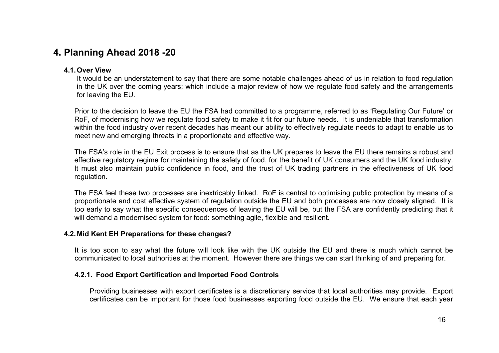# **4. Planning Ahead 2018 -20**

# **4.1.Over View**

It would be an understatement to say that there are some notable challenges ahead of us in relation to food regulation in the UK over the coming years; which include a major review of how we regulate food safety and the arrangements for leaving the EU.

Prior to the decision to leave the EU the FSA had committed to a programme, referred to as 'Regulating Our Future' or RoF, of modernising how we regulate food safety to make it fit for our future needs. It is undeniable that transformation within the food industry over recent decades has meant our ability to effectively regulate needs to adapt to enable us to meet new and emerging threats in a proportionate and effective way.

The FSA's role in the EU Exit process is to ensure that as the UK prepares to leave the EU there remains a robust and effective regulatory regime for maintaining the safety of food, for the benefit of UK consumers and the UK food industry. It must also maintain public confidence in food, and the trust of UK trading partners in the effectiveness of UK food regulation.

The FSA feel these two processes are inextricably linked. RoF is central to optimising public protection by means of a proportionate and cost effective system of regulation outside the EU and both processes are now closely aligned. It is too early to say what the specific consequences of leaving the EU will be, but the FSA are confidently predicting that it will demand a modernised system for food: something agile, flexible and resilient.

# **4.2.Mid Kent EH Preparations for these changes?**

It is too soon to say what the future will look like with the UK outside the EU and there is much which cannot be communicated to local authorities at the moment. However there are things we can start thinking of and preparing for.

# **4.2.1. Food Export Certification and Imported Food Controls**

Providing businesses with export certificates is a discretionary service that local authorities may provide. Export certificates can be important for those food businesses exporting food outside the EU. We ensure that each year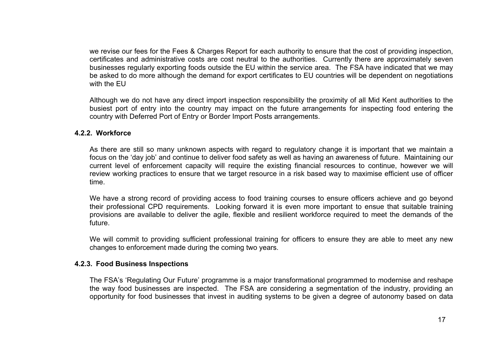we revise our fees for the Fees & Charges Report for each authority to ensure that the cost of providing inspection, certificates and administrative costs are cost neutral to the authorities. Currently there are approximately seven businesses regularly exporting foods outside the EU within the service area. The FSA have indicated that we may be asked to do more although the demand for export certificates to EU countries will be dependent on negotiations with the EU

Although we do not have any direct import inspection responsibility the proximity of all Mid Kent authorities to the busiest port of entry into the country may impact on the future arrangements for inspecting food entering the country with Deferred Port of Entry or Border Import Posts arrangements.

#### **4.2.2. Workforce**

As there are still so many unknown aspects with regard to regulatory change it is important that we maintain a focus on the 'day job' and continue to deliver food safety as well as having an awareness of future. Maintaining our current level of enforcement capacity will require the existing financial resources to continue, however we will review working practices to ensure that we target resource in a risk based way to maximise efficient use of officer time.

We have a strong record of providing access to food training courses to ensure officers achieve and go beyond their professional CPD requirements. Looking forward it is even more important to ensue that suitable training provisions are available to deliver the agile, flexible and resilient workforce required to meet the demands of the future.

We will commit to providing sufficient professional training for officers to ensure they are able to meet any new changes to enforcement made during the coming two years.

# **4.2.3. Food Business Inspections**

The FSA's 'Regulating Our Future' programme is a major transformational programmed to modernise and reshape the way food businesses are inspected. The FSA are considering a segmentation of the industry, providing an opportunity for food businesses that invest in auditing systems to be given a degree of autonomy based on data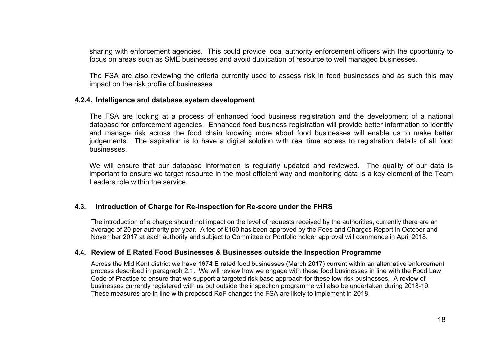sharing with enforcement agencies. This could provide local authority enforcement officers with the opportunity to focus on areas such as SME businesses and avoid duplication of resource to well managed businesses.

The FSA are also reviewing the criteria currently used to assess risk in food businesses and as such this may impact on the risk profile of businesses

#### **4.2.4. Intelligence and database system development**

The FSA are looking at a process of enhanced food business registration and the development of a national database for enforcement agencies. Enhanced food business registration will provide better information to identify and manage risk across the food chain knowing more about food businesses will enable us to make better judgements. The aspiration is to have a digital solution with real time access to registration details of all food businesses.

We will ensure that our database information is regularly updated and reviewed. The quality of our data is important to ensure we target resource in the most efficient way and monitoring data is a key element of the Team Leaders role within the service.

#### **4.3. Introduction of Charge for Re-inspection for Re-score under the FHRS**

The introduction of a charge should not impact on the level of requests received by the authorities, currently there are an average of 20 per authority per year. A fee of £160 has been approved by the Fees and Charges Report in October and November 2017 at each authority and subject to Committee or Portfolio holder approval will commence in April 2018.

# **4.4. Review of E Rated Food Businesses & Businesses outside the Inspection Programme**

Across the Mid Kent district we have 1674 E rated food businesses (March 2017) current within an alternative enforcement process described in paragraph 2.1. We will review how we engage with these food businesses in line with the Food Law Code of Practice to ensure that we support a targeted risk base approach for these low risk businesses. A review of businesses currently registered with us but outside the inspection programme will also be undertaken during 2018-19. These measures are in line with proposed RoF changes the FSA are likely to implement in 2018.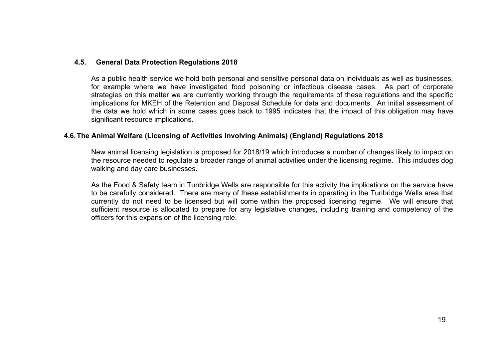### **4.5. General Data Protection Regulations 2018**

As a public health service we hold both personal and sensitive personal data on individuals as well as businesses, for example where we have investigated food poisoning or infectious disease cases. As part of corporate strategies on this matter we are currently working through the requirements of these regulations and the specific implications for MKEH of the Retention and Disposal Schedule for data and documents. An initial assessment of the data we hold which in some cases goes back to 1995 indicates that the impact of this obligation may have significant resource implications.

### **4.6.The Animal Welfare (Licensing of Activities Involving Animals) (England) Regulations 2018**

New animal licensing legislation is proposed for 2018/19 which introduces a number of changes likely to impact on the resource needed to regulate a broader range of animal activities under the licensing regime. This includes dog walking and day care businesses.

As the Food & Safety team in Tunbridge Wells are responsible for this activity the implications on the service have to be carefully considered. There are many of these establishments in operating in the Tunbridge Wells area that currently do not need to be licensed but will come within the proposed licensing regime. We will ensure that sufficient resource is allocated to prepare for any legislative changes, including training and competency of the officers for this expansion of the licensing role.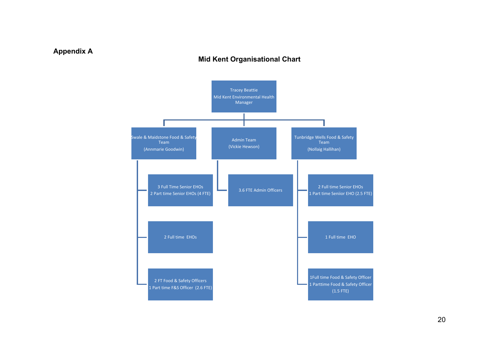# **Appendix A**

# **Mid Kent Organisational Chart**